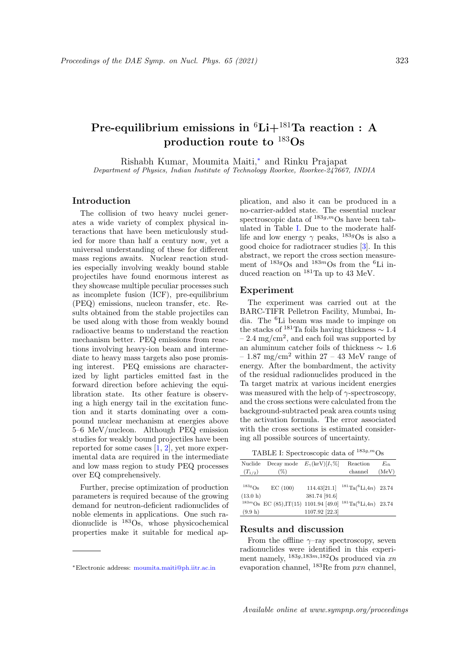# Pre-equilibrium emissions in  ${}^{6}Li+{}^{181}Ta$  reaction : A production route to  $^{183}Os$

Rishabh Kumar, Moumita Maiti,<sup>∗</sup> and Rinku Prajapat Department of Physics, Indian Institute of Technology Roorkee, Roorkee-247667, INDIA

### Introduction

The collision of two heavy nuclei generates a wide variety of complex physical interactions that have been meticulously studied for more than half a century now, yet a universal understanding of these for different mass regions awaits. Nuclear reaction studies especially involving weakly bound stable projectiles have found enormous interest as they showcase multiple peculiar processes such as incomplete fusion (ICF), pre-equilibrium (PEQ) emissions, nucleon transfer, etc. Results obtained from the stable projectiles can be used along with those from weakly bound radioactive beams to understand the reaction mechanism better. PEQ emissions from reactions involving heavy-ion beam and intermediate to heavy mass targets also pose promising interest. PEQ emissions are characterized by light particles emitted fast in the forward direction before achieving the equilibration state. Its other feature is observing a high energy tail in the excitation function and it starts dominating over a compound nuclear mechanism at energies above 5–6 MeV/nucleon. Although PEQ emission studies for weakly bound projectiles have been reported for some cases [1, 2], yet more experimental data are required in the intermediate and low mass region to study PEQ processes over EQ comprehensively.

Further, precise optimization of production parameters is required because of the growing demand for neutron-deficient radionuclides of noble elements in applications. One such radionuclide is  $^{183}Os$ , whose physicochemical properties make it suitable for medical application, and also it can be produced in a no-carrier-added state. The essential nuclear spectroscopic data of  $183g,m$ Os have been tabulated in Table I. Due to the moderate halflife and low energy  $\gamma$  peaks, <sup>183*g*</sup>Os is also a good choice for radiotracer studies [3]. In this abstract, we report the cross section measurement of  $183g$ Os and  $183m$ Os from the <sup>6</sup>Li induced reaction on  $^{181}$ Ta up to 43 MeV.

# Experiment

The experiment was carried out at the BARC-TIFR Pelletron Facility, Mumbai, India. The <sup>6</sup>Li beam was made to impinge on the stacks of  $181$ Ta foils having thickness  $\sim 1.4$  $-2.4 \text{ mg/cm}^2$ , and each foil was supported by an aluminum catcher foils of thickness  $\sim$  1.6 – 1.87 mg/cm<sup>2</sup> within 27 – 43 MeV range of energy. After the bombardment, the activity of the residual radionuclides produced in the Ta target matrix at various incident energies was measured with the help of  $\gamma$ -spectroscopy, and the cross sections were calculated from the background-subtracted peak area counts using the activation formula. The error associated with the cross sections is estimated considering all possible sources of uncertainty.

TABLE I: Spectroscopic data of  $^{183g,m}$ Os

| Nuclide     |                                         | Decay mode $E_{\gamma}(\text{keV})[I_{\gamma}\%]$ | Reaction                                   | $E_{th}$ |
|-------------|-----------------------------------------|---------------------------------------------------|--------------------------------------------|----------|
| $(T_{1/2})$ | $(\%)$                                  |                                                   | channel                                    | (MeV)    |
|             |                                         |                                                   |                                            |          |
| $183g$ Os   | EC(100)                                 | 114.43[21.1]                                      | $181 \text{ Ta}({}^{6}\text{Li},4n)$ 23.74 |          |
| (13.0 h)    |                                         | 381.74 [91.6]                                     |                                            |          |
|             | $183m$ Os EC (85),IT(15) 1101.94 [49.0] |                                                   | $181 \text{Ta}(6\text{Li},4n)$ 23.74       |          |
| (9.9 h)     |                                         | 1107.92 [22.3]                                    |                                            |          |

# Results and discussion

From the offline  $\gamma$ -ray spectroscopy, seven radionuclides were identified in this experiment namely,  $^{183g,183m,182}$ Os produced via xn evaporation channel, <sup>183</sup>Re from pxn channel,

<sup>∗</sup>Electronic address: moumita.maiti@ph.iitr.ac.in